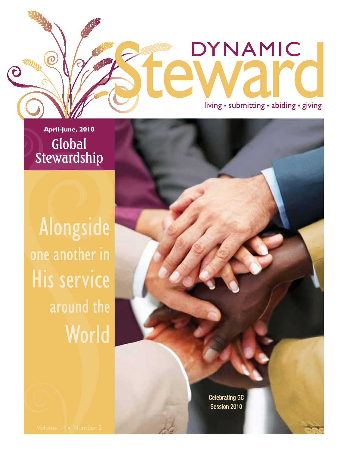living · submitting · abiding · giving

**DYNAMIC** 

A

April-June, 2010 Global Stewardship

 $\overline{O}$ 

 $\overline{\mathsf{C}}$ 

ARTHUR

Alongside one another in His service around the World

> **Celebrating GC** Session 2010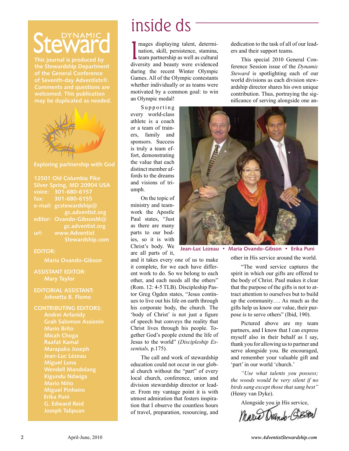# DYNAMIC

**This journal is produced by the Stewardship Department of the General Conference of Seventh-day Adventists®. may be duplicated as needed.**



### **Exploring partnership with God**

| 12501 Old Columbia Pike     |                         |
|-----------------------------|-------------------------|
| Silver Spring, MD 20904 USA |                         |
|                             | voice: 301-680-6157     |
|                             | fax: 301-680-6155       |
|                             | e-mail: gcstewardship@  |
|                             | gc.adventist.org        |
|                             | editor: Ovando-GibsonM@ |
|                             | gc.adventist.org        |
| url:                        | www.Adventist           |
|                             | Stewardship.com         |

### **EDITOR:**

**Maria Ovando-Gibson**

## **ASSISTANT EDITOR:**

### **EDITORIAL ASSISTANT: Johnetta B. Flomo**

### **CONTRIBUTING EDITORS:**

**Andrei Arfanidy Grah Salomon Assienin Mario Brito Micah Choga Raafat Kamal Marapaka Joseph Jean-Luc Lézeau Miguel Luna Kigundu Ndwiga Mario Niño Miguel Pinheiro Erika Puni**

# inside ds

I mages displaying talent, determination, skill, persistence, stamina,<br>team partnership as well as cultural<br>diversity and beauty were avidenced nation, skill, persistence, stamina, team partnership as well as cultural diversity and beauty were evidenced during the recent Winter Olympic Games. All of the Olympic contestants whether individually or as teams were motivated by a common goal: to win an Olympic medal!

Supporting every world-class athlete is a coach or a team of trainers, family and sponsors. Success is truly a team effort, demonstrating the value that each distinct member affords to the dreams and visions of triumph.

On the topic of ministry and teamwork the Apostle Paul states, "Just as there are many parts to our bodies, so it is with Christ's body. We are all parts of it,

and it takes every one of us to make it complete, for we each have different work to do. So we belong to each other, and each needs all the others" (Rom. 12: 4-5 TLB). Discipleship Pastor Greg Ogden states, "Jesus continues to live out his life on earth through his corporate body, the church. The 'body of Christ' is not just a figure of speech but conveys the reality that Christ lives through his people. Together God's people extend the life of Jesus to the world" (*Discipleship Essentials,* p.175).

The call and work of stewardship education could not occur in our global church without the "part" of every local church, conference, union and division stewardship director or leader. From my vantage point it is with utmost admiration that fosters inspiration that I observe the countless hours of travel, preparation, resourcing, and

dedication to the task of all of our leaders and their support teams.

This special 2010 General Conference Session issue of the *Dynamic Steward* is spotlighting each of our world divisions as each division stewardship director shares his own unique contribution. Thus, portraying the significance of serving alongside one an-



**Jean-Luc L**é**zeau • Maria Ovando-Gibson • Erika Puni**

other in His service around the world.

"The word service captures the spirit in which our gifts are offered to the body of Christ. Paul makes it clear that the purpose of the gifts is not to attract attention to ourselves but to build up the community…. As much as the gifts help us know our value, their purpose is to serve others" (Ibid, 190).

Pictured above are my team partners, and I know that I can express myself also in their behalf as I say, thank you for allowing us to partner and serve alongside you. Be encouraged, and remember your valuable gift and 'part' in our world 'church.'

*"Use what talents you possess; the woods would be very silent if no birds sang except those that sang best"*  (Henry van Dyke).

Alongside you in His service,

Mario Drando-GiBSON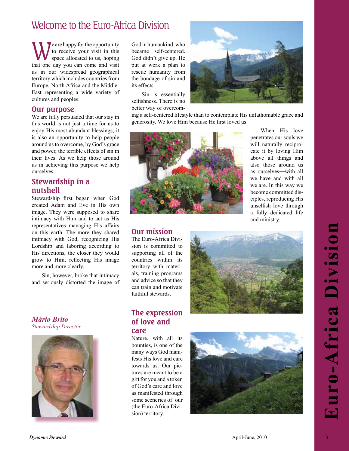## Welcome to the Euro-Africa Division

We are happy for the opportunity<br>to receive your visit in this<br>space allocated to us, hoping to receive your visit in this space allocated to us, hoping that one day you can come and visit us in our widespread geographical territory which includes countries from Europe, North Africa and the Middle-East representing a wide variety of cultures and peoples.

### **Our purpose**

We are fully persuaded that our stay in this world is not just a time for us to enjoy His most abundant blessings; it is also an opportunity to help people around us to overcome, by God's grace and power, the terrible effects of sin in their lives. As we help those around us in achieving this purpose we help ourselves.

### **Stewardship in a nutshell**

Stewardship first began when God created Adam and Eve in His own image. They were supposed to share intimacy with Him and to act as His representatives managing His affairs on this earth. The more they shared intimacy with God, recognizing His Lordship and laboring according to His directions, the closer they would grow to Him, reflecting His image more and more clearly.

Sin, however, broke that intimacy and seriously distorted the image of

*Màrio Brito Stewardship Director*



God in humankind, who became self-centered. God didn't give up. He put at work a plan to rescue humanity from the bondage of sin and its effects.

Sin is essentially selfishness. There is no better way of overcom-



ing a self-centered lifestyle than to contemplate His unfathomable grace and generosity. We love Him because He first loved us.



When His love penetrates our souls we will naturally reciprocate it by loving Him above all things and also those around us as ourselves―with all we have and with all we are. In this way we become committed disciples, reproducing His unselfish love through a fully dedicated life and ministry.

### **Our mission**

The Euro-Africa Division is committed to supporting all of the countries within its territory with materials, training programs and advice so that they can train and motivate faithful stewards.



### **The expression of love and care**

Nature, with all its bounties, is one of the many ways God manifests His love and care towards us. Our pictures are meant to be a gift for you and a token of God's care and love as manifested through some sceneries of our (the Euro-Africa Division) territory.

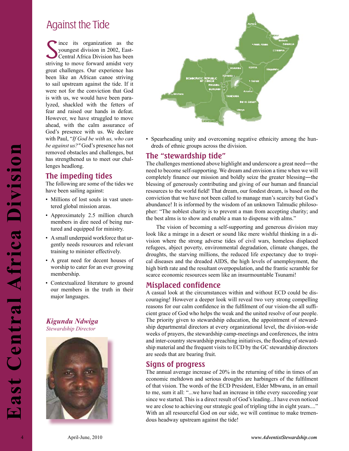## Against the Tide

Since its organization as the youngest division in 2002, East-Central Africa Division has been striving to move forward amidst very ince its organization as the youngest division in 2002, East-Central Africa Division has been great challenges. Our experience has been like an African canoe striving to sail upstream against the tide. If it were not for the conviction that God is with us, we would have been paralyzed, shackled with the fetters of fear and raised our hands in defeat. However, we have struggled to move ahead, with the calm assurance of God's presence with us. We declare with Paul, "*If God be with us, who can be against us?"* God's presence has not removed obstacles and challenges, but has strengthened us to meet our challenges headlong.

### **The impeding tides**

The following are some of the tides we have been sailing against:

- Millions of lost souls in vast unentered global mission areas.
- Approximately 2.5 million church members in dire need of being nurtured and equipped for ministry.
- A small underpaid workforce that urgently needs resources and relevant training to minister effectively.
- A great need for decent houses of worship to cater for an ever growing membership.
- Contextualized literature to ground our members in the truth in their major languages.

### *Kigundu Ndwiga Stewardship Director*





• Spearheading unity and overcoming negative ethnicity among the hundreds of ethnic groups across the division.

### **The "stewardship tide"**

The challenges mentioned above highlight and underscore a great need―the need to become self-supporting. We dream and envision a time when we will completely finance our mission and boldly seize the greater blessing-the blessing of generously contributing and giving of our human and financial resources to the world field! That dream, our fondest dream, is based on the conviction that we have not been called to manage man's scarcity but God's abundance! It is informed by the wisdom of an unknown Talmudic philosopher: "The noblest charity is to prevent a man from accepting charity; and the best alms is to show and enable a man to dispense with alms."

The vision of becoming a self-supporting and generous division may look like a mirage in a desert or sound like mere wishful thinking in a division where the strong adverse tides of civil wars, homeless displaced refugees, abject poverty, environmental degradation, climate changes, the droughts, the starving millions, the reduced life expectancy due to tropical diseases and the dreaded AIDS, the high levels of unemployment, the high birth rate and the resultant overpopulation, and the frantic scramble for scarce economic resources seem like an insurmountable Tsunami!

### **Misplaced confidence**

A construction of the control of the control of the control of the control of the control of the control of the control of the control of the control of the control of the control of the control of the control of the contr A casual look at the circumstances within and without ECD could be discouraging! However a deeper look will reveal two very strong compelling reasons for our calm confidence in the fulfilment of our vision-the all sufficient grace of God who helps the weak and the united resolve of our people. The priority given to stewardship education, the appointment of stewardship departmental directors at every organizational level, the division-wide weeks of prayers, the stewardship camp-meetings and conferences, the intra and inter-country stewardship preaching initiatives, the flooding of stewardship material and the frequent visits to ECD by the GC stewardship directors are seeds that are bearing fruit.

### **Signs of progress**

The annual average increase of 20% in the returning of tithe in times of an economic meltdown and serious droughts are harbingers of the fulfilment of that vision. The words of the ECD President, Elder Mbwana, in an email to me, sum it all: "...we have had an increase in tithe every succeeding year since we started. This is a direct result of God's leading...I have even noticed we are close to achieving our strategic goal of tripling tithe in eight years...." With an all resourceful God on our side, we will continue to make tremendous headway upstream against the tide!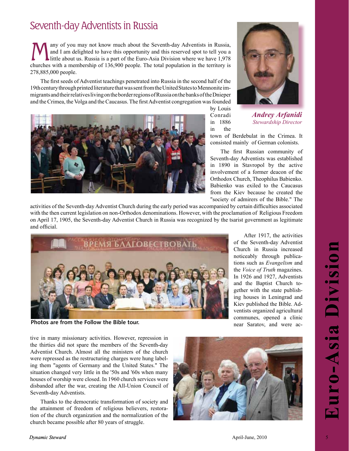## Seventh-day Adventists in Russia

Many of you may not know much about the Seventh-day Adventists in Russia, and I am delighted to have this opportunity and this reserved spot to tell you a little about us. Russia is a part of the Euro-Asia Division where w and I am delighted to have this opportunity and this reserved spot to tell you a churches with a membership of 136,900 people. The total population in the territory is 278,885,000 people.

The first seeds of Adventist teachings penetrated into Russia in the second half of the 19th century through printed literature that was sent from the United States to Mennonite immigrants and their relatives living on the border regions of Russia on the banks of the Dnieper and the Crimea, the Volga and the Caucasus. The first Adventist congregation was founded



by Louis Conradi in 1886 in the

*Andrey Arfanidi Stewardship Director*

After 1917, the activities of the Seventh-day Adventist Church in Russia increased noticeably through publications such as *Evangelism* and the *Voice of Truth* magazines. In 1926 and 1927, Adventists and the Baptist Church together with the state publishing houses in Leningrad and Kiev published the Bible. Adventists organized agricultural communes, opened a clinic near Saratov, and were ac-

town of Berdebulat in the Crimea. It consisted mainly of German colonists.

The first Russian community of Seventh-day Adventists was established in 1890 in Stavropol by the active involvement of a former deacon of the Orthodox Church, Theophilus Babienko. Babienko was exiled to the Caucasus from the Kiev because he created the "society of admirers of the Bible." The

activities of the Seventh-day Adventist Church during the early period was accompanied by certain difficulties associated with the then current legislation on non-Orthodox denominations. However, with the proclamation of Religious Freedom on April 17, 1905, the Seventh-day Adventist Church in Russia was recognized by the tsarist government as legitimate and official.



**Photos are from the Follow the Bible tour.**

tive in many missionary activities. However, repression in the thirties did not spare the members of the Seventh-day Adventist Church. Almost all the ministers of the church were repressed as the restructuring charges were hung labeling them "agents of Germany and the United States." The situation changed very little in the '50s and '60s when many houses of worship were closed. In 1960 church services were disbanded after the war, creating the All-Union Council of Seventh-day Adventists.

Thanks to the democratic transformation of society and the attainment of freedom of religious believers, restoration of the church organization and the normalization of the church became possible after 80 years of struggle.

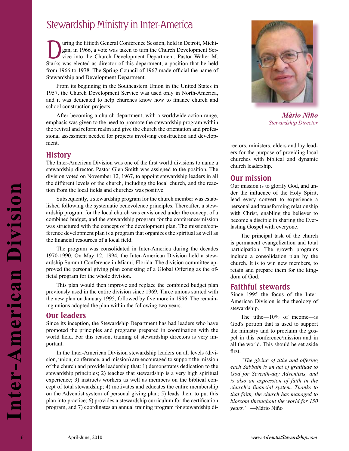## Stewardship Ministry in Inter-America

Using the fiftieth General Conference Session, held in Detroit, Michigan, in 1966, a vote was taken to turn the Church Development Service into the Church Development Department. Pastor Walter M. gan, in 1966, a vote was taken to turn the Church Development Ser-Starks was elected as director of this department, a position that he held from 1966 to 1978. The Spring Council of 1967 made official the name of Stewardship and Development Department.

From its beginning in the Southeastern Union in the United States in 1957, the Church Development Service was used only in North-America, and it was dedicated to help churches know how to finance church and school construction projects.

After becoming a church department, with a worldwide action range, emphasis was given to the need to promote the stewardship program within the revival and reform realm and give the church the orientation and professional assessment needed for projects involving construction and development.

### **History**

The Inter-American Division was one of the first world divisions to name a stewardship director. Pastor Glen Smith was assigned to the position. The division voted on November 12, 1967, to appoint stewardship leaders in all the different levels of the church, including the local church, and the reaction from the local fields and churches was positive.

Subsequently, a stewardship program for the church member was established following the systematic benevolence principles. Thereafter, a stewardship program for the local church was envisioned under the concept of a combined budget, and the stewardship program for the conference/mission was structured with the concept of the development plan. The mission/conference development plan is a program that organizes the spiritual as well as the financial resources of a local field.

The program was consolidated in Inter-America during the decades 1970-1990. On May 12, 1994, the Inter-American Division held a stewardship Summit Conference in Miami, Florida. The division committee approved the personal giving plan consisting of a Global Offering as the official program for the whole division.

This plan would then improve and replace the combined budget plan previously used in the entire division since 1969. Three unions started with the new plan on January 1995, followed by five more in 1996. The remaining unions adopted the plan within the following two years.

### **Our leaders**

Since its inception, the Stewardship Department has had leaders who have promoted the principles and programs prepared in coordination with the world field. For this reason, training of stewardship directors is very important.

From the two standards are seen to the duration is to the consideration of the consideration of the standard in the consideration of the standard in the standard of the standard in the standard behind to the standard behi In the Inter-American Division stewardship leaders on all levels (division, union, conference, and mission) are encouraged to support the mission of the church and provide leadership that: 1) demonstrates dedication to the stewardship principles; 2) teaches that stewardship is a very high spiritual experience; 3) instructs workers as well as members on the biblical concept of total stewardship; 4) motivates and educates the entire membership on the Adventist system of personal giving plan; 5) leads them to put this plan into practice; 6) provides a stewardship curriculum for the certification program, and 7) coordinates an annual training program for stewardship di-



*Màrio Niño Stewardship Director*

rectors, ministers, elders and lay leaders for the purpose of providing local churches with biblical and dynamic church leadership.

### **Our mission**

Our mission is to glorify God, and under the influence of the Holy Spirit, lead every convert to experience a personal and transforming relationship with Christ, enabling the believer to become a disciple in sharing the Everlasting Gospel with everyone.

The principal task of the church is permanent evangelization and total participation. The growth programs include a consolidation plan by the church. It is to win new members, to retain and prepare them for the kingdom of God.

### **Faithful stewards**

Since 1995 the focus of the Inter-American Division is the theology of stewardship.

The tithe–10% of income–is God's portion that is used to support the ministry and to proclaim the gospel in this conference/mission and in all the world. This should be set aside first.

*"The giving of tithe and offering each Sabbath is an act of gratitude to God for Seventh-day Adventists, and is also an expression of faith in the church's financial system. Thanks to that faith, the church has managed to blossom throughout the world for 150 years."* ―Màrio Niño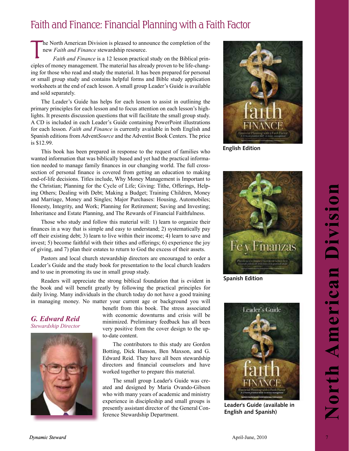## Faith and Finance: Financial Planning with a Faith Factor

he North American Division is pleased to announce the completion of the new *Faith and Finance* stewardship resource.

T *Faith and Finance* is a 12 lesson practical study on the Biblical principles of money management. The material has already proven to be life-changing for those who read and study the material. It has been prepared for personal or small group study and contains helpful forms and Bible study application worksheets at the end of each lesson. A small group Leader's Guide is available and sold separately.

The Leader's Guide has helps for each lesson to assist in outlining the primary principles for each lesson and to focus attention on each lesson's highlights. It presents discussion questions that will facilitate the small group study. A CD is included in each Leader's Guide containing PowerPoint illustrations for each lesson. *Faith and Finance* is currently available in both English and Spanish editions from Advent*Source* and the Adventist Book Centers. The price is \$12.99.

This book has been prepared in response to the request of families who wanted information that was biblically based and yet had the practical information needed to manage family finances in our changing world. The full crosssection of personal finance is covered from getting an education to making end-of-life decisions. Titles include, Why Money Management is Important to the Christian; Planning for the Cycle of Life; Giving: Tithe, Offerings, Helping Others; Dealing with Debt; Making a Budget; Training Children, Money and Marriage, Money and Singles; Major Purchases: Housing, Automobiles; Honesty, Integrity, and Work; Planning for Retirement; Saving and Investing; Inheritance and Estate Planning, and The Rewards of Financial Faithfulness.

Those who study and follow this material will: 1) learn to organize their finances in a way that is simple and easy to understand; 2) systematically pay off their existing debt; 3) learn to live within their income; 4) learn to save and invest; 5) become faithful with their tithes and offerings; 6) experience the joy of giving, and 7) plan their estates to return to God the excess of their assets.

Pastors and local church stewardship directors are encouraged to order a Leader's Guide and the study book for presentation to the local church leaders and to use in promoting its use in small group study.

Readers will appreciate the strong biblical foundation that is evident in the book and will benefit greatly by following the practical principles for daily living. Many individuals in the church today do not have a good training in managing money. No matter your current age or background you will

*G. Edward Reid Stewardship Director*



benefit from this book. The stress associated with economic downturns and crisis will be minimized. Preliminary feedback has all been very positive from the cover design to the upto-date content.

The contributors to this study are Gordon Botting, Dick Hanson, Ben Maxson, and G. Edward Reid. They have all been stewardship directors and financial counselors and have worked together to prepare this material.

The small group Leader's Guide was created and designed by Maria Ovando-Gibson who with many years of academic and ministry experience in discipleship and small groups is presently assistant director of the General Conference Stewardship Department.



**English Edition**



**Spanish Edition**



**Leader's Guide (available in English and Spanish)**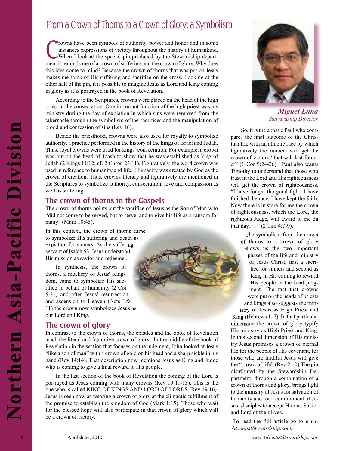## From a Crown of Thorns to a Crown of Glory: a Symbolism

Trowns have been symbols of authority, power and honor and in some instances expressions of victory throughout the history of humankind.<br>When I look at the special pin produced by the Stewardship department it reminds me o rowns have been symbols of authority, power and honor and in some instances expressions of victory throughout the history of humankind. When I look at the special pin produced by the Stewardship departthis idea come to mind? Because the crown of thorns that was put on Jesus makes me think of His suffering and sacrifice on the cross. Looking at the other half of the pin, it is possible to imagine Jesus as Lord and King coming in glory as it is portrayed in the book of Revelation.

According to the Scriptures, crowns were placed on the head of the high priest at the consecration. One important function of the high priest was his ministry during the day of expiation in which sins were removed from the tabernacle through the symbolism of the sacrifices and the manipulation of blood and confession of sins (Lev 16).

Shoot and various computes in the binder of the system of the binder of the system of the binder of the system of the binder of the system of the system of the system of the system of the system of the system of the system Beside the priesthood, crowns were also used for royalty to symbolize authority, a practice performed in the history of the kings of Israel and Judah. Thus, royal crowns were used for kings' consecration. For example, a crown was put on the head of Joash to show that he was established as king of Judah (2 Kings 11:12; cf. 2 Chron 23:11). Figuratively, the word crown was used in reference to humanity and life. Humanity was created by God as the crown of creation. Thus, crowns literary and figuratively are mentioned in the Scriptures to symbolize authority, consecration, love and compassion as well as suffering.

### **The crown of thorns in the Gospels**

The crown of thorns points out the sacrifice of Jesus as the Son of Man who "did not come to be served, but to serve, and to give his life as a ransom for many" (Mark 10:45).

In this context, the crown of thorns came to symbolize His suffering and death as expiation for sinners. As the suffering servant of Isaiah 53, Jesus understood His mission as savior and redeemer.

In synthesis, the crown of thorns, a mockery of Jesus' Kingdom, came to symbolize His sacrifice in behalf of humanity (2 Cor 5:21) and after Jesus' resurrection and ascension to Heaven (Acts 1:9- 11) the crown now symbolizes Jesus as our Lord and King.

## **The crown of glory**

In contrast to the crown of thorns, the epistles and the book of Revelation teach the literal and figurative crown of glory. In the middle of the book of Revelation in the section that focuses on the judgment, John looked at Jesus "like a son of man" with a crown of gold on his head and a sharp sickle in his hand (Rev 14:14). That description now mentions Jesus as King and Judge who is coming to give a final reward to His people.

In the last section of the book of Revelation the coming of the Lord is portrayed as Jesus coming with many crowns (Rev 19:11-13). This is the one who is called KING OF KINGS AND LORD OF LORDS (Rev 19:16). Jesus is seen now as wearing a crown of glory at the climactic fulfillment of the promise to establish the kingdom of God (Mark 1:15). Those who wait for the blessed hope will also participate in that crown of glory which will be a crown of victory.



 *Miguel Luna Stewardship Director*

So, it is the apostle Paul who compares the final outcome of the Christian life with an athletic race by which figuratively the runners will get the crown of victory "that will last forever" (1 Cor 9:24-26). Paul also wants Timothy to understand that those who trust in the Lord and His righteousness will get the crown of righteousness. "I have fought the good fight, I have finished the race, I have kept the faith. Now there is in store for me the crown of righteousness, which the Lord, the righteous Judge, will award to me on that day. . . " (2 Tim 4:7-9).

> The symbolism from the crown of thorns to a crown of glory shows us the two important phases of the life and ministry of Jesus Christ, first a sacrifice for sinners and second as King in His coming to reward His people in the final judgment. The fact that crowns were put on the heads of priests and kings also suggests the min-

istry of Jesus as High Priest and istry of King (Hebrews 1, 7). In that particular dimension the crown of glory typify His ministry as High Priest and King. In this second dimension of His ministry Jesus promises a crown of eternal life for the people of His covenant, for those who are faithful Jesus will give the "crown of life" (Rev 2:10).The pin distributed by the Stewardship Department, through a combination of a crown of thorns and glory, brings light to the ministry of Jesus for salvation of humanity and for a commitment of Jesus' disciples to accept Him as Savior and Lord of their lives.

 To read the full article go to *www. AdventistStewardship.com.*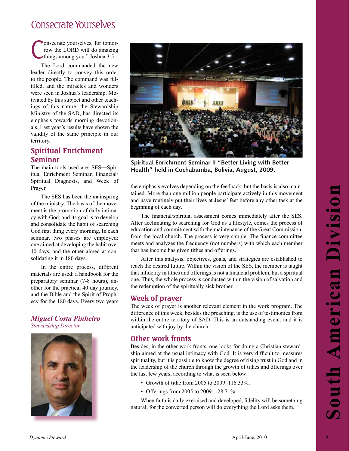## Consecrate Yourselves

C onsecrate yourselves, for tomorrow the LORD will do amazing things among you." Joshua 3:5

The Lord commanded the new leader directly to convey this order to the people. The command was fulfilled, and the miracles and wonders were seen in Joshua's leadership. Motivated by this subject and other teachings of this nature, the Stewardship Ministry of the SAD, has directed its emphasis towards morning devotionals. Last year's results have shown the validity of the same principle in our territory.

### **Spiritual Enrichment Seminar**

The main tools used are: SES―Spiritual Enrichment Seminar, Financial/ Spiritual Diagnosis, and Week of Prayer.

The SES has been the mainspring of the ministry. The basis of the movement is the promotion of daily intimacy with God, and its goal is to develop and consolidate the habit of searching God first thing every morning. In each seminar, two phases are employed: one aimed at developing the habit over 40 days, and the other aimed at consolidating it in 180 days.

In the entire process, different materials are used: a handbook for the preparatory seminar (7-8 hours), another for the practical 40 day journey, and the Bible and the Spirit of Prophecy for the 180 days. Every two years

*Miguel Costa Pinheiro Stewardship Director*





**Spiritual Enrichment Seminar II "Better Living with Better Health" held in Cochabamba, Bolivia, August, 2009.**

the emphasis evolves depending on the feedback, but the basis is also maintained. More than one million people participate actively in this movement and have routinely put their lives at Jesus' feet before any other task at the beginning of each day.

Prev. The BSS has been the nations principal and the received and section and the content of the minimizy. His basis of the minimizy the basis of the minimizy the basis of the minimizy the basis of the minimizy the basis The financial/spiritual assessment comes immediately after the SES. After acclimating to searching for God as a lifestyle, comes the process of education and commitment with the maintenance of the Great Commission, from the local church. The process is very simple. The finance committee meets and analyzes the frequency (not numbers) with which each member that has income has given tithes and offerings.

After this analysis, objectives, goals, and strategies are established to reach the desired future. Within the vision of the SES, the member is taught that infidelity in tithes and offerings is not a financial problem, but a spiritual one. Thus, the whole process is conducted within the vision of salvation and the redemption of the spiritually sick brother.

### **Week of prayer**

The week of prayer is another relevant element in the work program. The difference of this week, besides the preaching, is the use of testimonies from within the entire territory of SAD. This is an outstanding event, and it is anticipated with joy by the church.

### **Other work fronts**

Besides, in the other work fronts, one looks for doing a Christian stewardship aimed at the usual intimacy with God. It is very difficult to measures spirituality, but it is possible to know the degree of rising trust in God and in the leadership of the church through the growth of tithes and offerings over the last few years, according to what is seen below:

- Growth of tithe from 2005 to 2009: 116.33%;
- Offerings from 2005 to 2009: 128.71%.

When faith is daily exercised and developed, fidelity will be something natural, for the converted person will do everything the Lord asks them.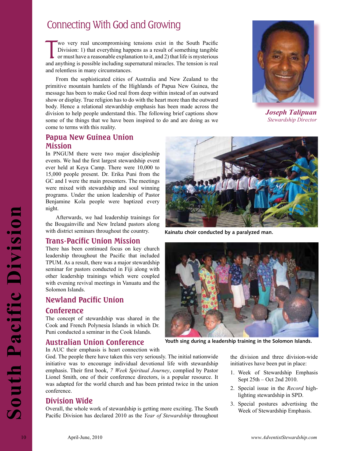## Connecting With God and Growing

Wo very real uncompromising tensions exist in the South Pacific Division: 1) that everything happens as a result of something tangible or must have a reasonable explanation to it, and 2) that life is mysterious and anythin wo very real uncompromising tensions exist in the South Pacific Division: 1) that everything happens as a result of something tangible or must have a reasonable explanation to it, and 2) that life is mysterious and relentless in many circumstances.

From the sophisticated cities of Australia and New Zealand to the primitive mountain hamlets of the Highlands of Papua New Guinea, the message has been to make God real from deep within instead of an outward show or display. True religion has to do with the heart more than the outward body. Hence a relational stewardship emphasis has been made across the division to help people understand this. The following brief captions show some of the things that we have been inspired to do and are doing as we come to terms with this reality.



*Joseph Talipuan Stewardship Director*

### **Papua New Guinea Union Mission**

In PNGUM there were two major discipleship events. We had the first largest stewardship event ever held at Keya Camp. There were 10,000 to 15,000 people present. Dr. Erika Puni from the GC and I were the main presenters. The meetings were mixed with stewardship and soul winning programs. Under the union leadership of Pastor Benjamine Kola people were baptized every night.

Afterwards, we had leadership trainings for the Bougainville and New Ireland pastors along with district seminars throughout the country.

### **Trans-Pacific Union Mission**

There has been continued focus on key church leadership throughout the Pacific that included TPUM. As a result, there was a major stewardship seminar for pastors conducted in Fiji along with other leadership trainings which were coupled with evening revival meetings in Vanuatu and the Solomon Islands.

### **Newland Pacific Union**

### **Conference**

The concept of stewardship was shared in the Cook and French Polynesia Islands in which Dr. Puni conducted a seminar in the Cook Islands.



**Kainatu choir conducted by a paralyzed man.** 



**Youth sing during a leadership training in the Solomon Islands.**

### **Australian Union Conference**

In AUC their emphasis is heart connection with

God. The people there have taken this very seriously. The initial nationwide initiative was to encourage individual devotional life with stewardship emphasis. Their first book, *7 Week Spiritual Journey*, complied by Pastor Lionel Smith, one of their conference directors, is a popular resource. It was adapted for the world church and has been printed twice in the union conference.

### **Division Wide**

Overall, the whole work of stewardship is getting more exciting. The South Pacific Division has declared 2010 as the *Year of Stewardship* throughout the division and three division-wide initiatives have been put in place:

- 1. Week of Stewardship Emphasis Sept 25th – Oct 2nd 2010.
- 2. Special issue in the *Record* highlighting stewardship in SPD.
- 3. Special postures advertising the Week of Stewardship Emphasis.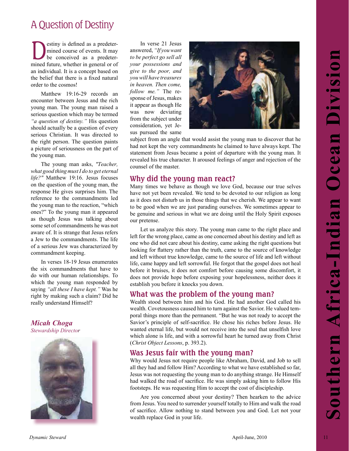## A Question of Destiny

**Destiny is defined as a predeter-**<br>mined course of events. It may<br>be conceived as a predeter-<br>mined future whether in concrete or of mined course of events. It may mined future, whether in general or of an individual. It is a concept based on the belief that there is a fixed natural order to the cosmos!

Matthew 19:16-29 records an encounter between Jesus and the rich young man. The young man raised a serious question which may be termed *"a question of destiny."* His question should actually be a question of every serious Christian. It was directed to the right person. The question paints a picture of seriousness on the part of the young man.

The young man asks, *"Teacher, what good thing must I do to get eternal life?"* Matthew 19:16. Jesus focuses on the question of the young man, the response He gives surprises him. The reference to the commandments led the young man to the reaction, "which ones?" To the young man it appeared as though Jesus was talking about some set of commandments he was not aware of. It is strange that Jesus refers a Jew to the commandments. The life of a serious Jew was characterized by commandment keeping.

In verses 18-19 Jesus enumerates the six commandments that have to do with our human relationships. To which the young man responded by saying *"all these I have kept."* Was he right by making such a claim? Did he really understand Himself?

### *Micah Choga Stewardship Director*



In verse 21 Jesus answered, *"If you want to be perfect go sell all your possessions and give to the poor, and you will have treasures in heaven. Then come, follow me."* The response of Jesus, makes it appear as though He was now deviating from the subject under consideration, yet Jesus pursued the same



subject from an angle that would assist the young man to discover that he had not kept the very commandments he claimed to have always kept. The statement from Jesus became a point of departure with the young man. It revealed his true character. It aroused feelings of anger and rejection of the counsel of the master.

### **Why did the young man react?**

Many times we behave as though we love God, because our true selves have not yet been revealed. We tend to be devoted to our religion as long as it does not disturb us in those things that we cherish. We appear to want to be good when we are just parading ourselves. We sometimes appear to be genuine and serious in what we are doing until the Holy Spirit exposes our pretense.

**Dynamic Steward Across the Steward April-June 2011**<br> **Dynamic Steward Across the Control Control Control Control Control Control Control Control Control Control Control Control Control Control Control Control Control Cont** Let us analyze this story. The young man came to the right place and left for the wrong place, came as one concerned about his destiny and left as one who did not care about his destiny, came asking the right questions but looking for flattery rather than the truth, came to the source of knowledge and left without true knowledge, came to the source of life and left without life, came happy and left sorrowful. He forgot that the gospel does not heal before it bruises, it does not comfort before causing some discomfort, it does not provide hope before exposing your hopelessness, neither does it establish you before it knocks you down.

### **What was the problem of the young man?**

Wealth stood between him and his God. He had another God called his wealth. Covetousness caused him to turn against the Savior. He valued temporal things more than the permanent. "But he was not ready to accept the Savior's principle of self-sacrifice. He chose his riches before Jesus. He wanted eternal life, but would not receive into the soul that unselfish love which alone is life, and with a sorrowful heart he turned away from Christ (*Christ Object Lessons*, p. 393.2).

### **Was Jesus fair with the young man?**

Why would Jesus not require people like Abraham, David, and Job to sell all they had and follow Him? According to what we have established so far, Jesus was not requesting the young man to do anything strange. He Himself had walked the road of sacrifice. He was simply asking him to follow His footsteps. He was requesting Him to accept the cost of discipleship.

Are you concerned about your destiny? Then hearken to the advice from Jesus. You need to surrender yourself totally to Him and walk the road of sacrifice. Allow nothing to stand between you and God. Let not your wealth replace God in your life.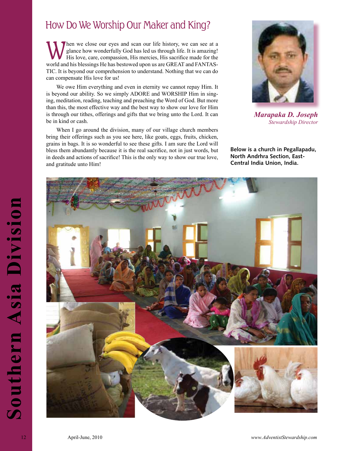## How Do We Worship Our Maker and King?

When we close our eyes and scan our life history, we can see at a glance how wonderfully God has led us through life. It is amazing!<br>His love, care, compassion, His mercies, His sacrifice made for the world and his blossin glance how wonderfully God has led us through life. It is amazing! world and his blessings He has bestowed upon us are GREAT and FANTAS-TIC. It is beyond our comprehension to understand. Nothing that we can do can compensate His love for us!

We owe Him everything and even in eternity we cannot repay Him. It is beyond our ability. So we simply ADORE and WORSHIP Him in singing, meditation, reading, teaching and preaching the Word of God. But more than this, the most effective way and the best way to show our love for Him is through our tithes, offerings and gifts that we bring unto the Lord. It can be in kind or cash.

When I go around the division, many of our village church members bring their offerings such as you see here, like goats, eggs, fruits, chicken, grains in bags. It is so wonderful to see these gifts. I am sure the Lord will bless them abundantly because it is the real sacrifice, not in just words, but in deeds and actions of sacrifice! This is the only way to show our true love, and gratitude unto Him!



*Marapaka D. Joseph Stewardship Director*

**Below is a church in Pegallapadu, North Andrhra Section, East-Central India Union, India.**

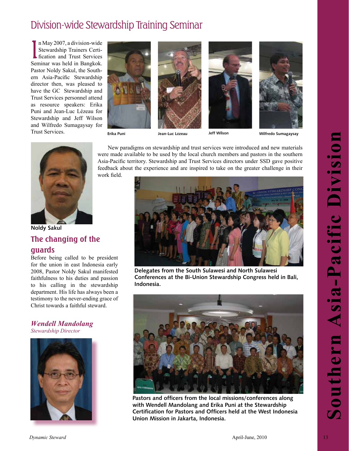## Division-wide Stewardship Training Seminar

In May 2007, a division-wide<br>Stewardship Trainers Certi-<br>fication and Trust Services n May 2007, a division-wide Stewardship Trainers Certi-Seminar was held in Bangkok. Pastor Noldy Sakul, the Southern Asia-Pacific Stewardship director then, was pleased to have the GC Stewardship and Trust Services personnel attend as resource speakers: Erika Puni and Jean-Luc Lézeau for Stewardship and Jeff Wilson and Wilfredo Sumagaysay for Trust Services.



work field.

New paradigms on stewardship and trust services were introduced and new materials were made available to be used by the local church members and pastors in the southern Asia-Pacific territory. Stewardship and Trust Services directors under SSD gave positive

**Erika Puni Jean-Luc L**é**zeau Jeff Wilson Wilfredo Sumagaysay**



**Noldy Sakul The changing of the guards**

Before being called to be president for the union in east Indonesia early 2008, Pastor Noldy Sakul manifested faithfulness to his duties and passion to his calling in the stewardship department. His life has always been a testimony to the never-ending grace of Christ towards a faithful steward.

### *Wendell Mandolang Stewardship Director*





**Delegates from the South Sulawesi and North Sulawesi Conferences at the Bi-Union Stewardship Congress held in Bali, Indonesia.**



**Pastors and officers from the local missions/conferences along with Wendell Mandolang and Erika Puni at the Stewardship Certification for Pastors and Officers held at the West Indonesia Union Mission in Jakarta, Indonesia.**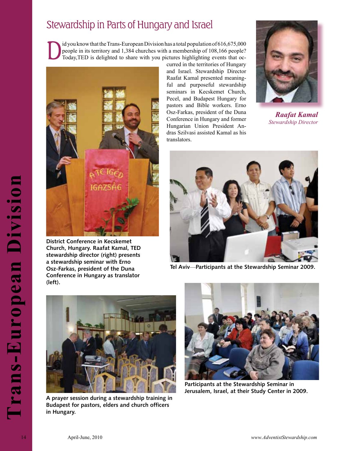## Stewardship in Parts of Hungary and Israel

id you know that the Trans-European Division has a total population of  $616,675,000$ people in its territory and 1,384 churches with a membership of 108,166 people? Today,TED is delighted to share with you pictures highlighting events that oc-



**District Conference in Kecskemet Church, Hungary. Raafat Kamal, TED stewardship director (right) presents a stewardship seminar with Erno Osz-Farkas, president of the Duna Conference in Hungary as translator (left).**

curred in the territories of Hungary and Israel. Stewardship Director Raafat Kamal presented meaningful and purposeful stewardship seminars in Kecskemet Church, Pecel, and Budapest Hungary for pastors and Bible workers. Erno Osz-Farkas, president of the Duna Conference in Hungary and former Hungarian Union President Andras Szilvasi assisted Kamal as his translators.



*Raafat Kamal Stewardship Director*



**Tel Aviv**—**Participants at the Stewardship Seminar 2009.**



**A prayer session during a stewardship training in Budapest for pastors, elders and church officers in Hungary.**



**Participants at the Stewardship Seminar in Jerusalem, Israel, at their Study Center in 2009.**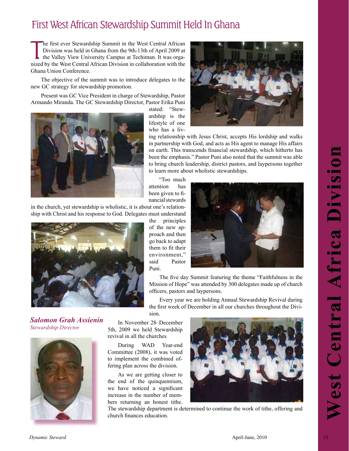## First West African Stewardship Summit Held In Ghana

**T** he first ever Stewardship Summit in the West Central African Division was held in Ghana from the 9th-13th of April 2009 at the Valley View University Campus at Techiman. It was organized by the West Central African Division in collaboration with the Ghana Union Conference.

The objective of the summit was to introduce delegates to the new GC strategy for stewardship promotion.

Present was GC Vice President in charge of Stewardship, Pastor Armando Miranda. The GC Stewardship Director, Pastor Erika Puni



stated: "Stewardship is the lifestyle of one who has a liv-

ing relationship with Jesus Christ, accepts His lordship and walks in partnership with God, and acts as His agent to manage His affairs on earth. This transcends financial stewardship, which hitherto has been the emphasis." Pastor Puni also noted that the summit was able to bring church leadership, district pastors, and laypersons together to learn more about wholistic stewardships.

"Too much attention has been given to financial stewards

in the church, yet stewardship is wholistic, it is about one's relationship with Christ and his response to God. Delegates must understand



*Salomon Grah Assienin Stewardship Director*



the principles of the new approach and then go back to adapt them to fit their environment," said Pastor Puni.



The five day Summit featuring the theme "Faithfulness in the Mission of Hope" was attended by 300 delegates made up of church officers, pastors and laypersons.

Every year we are holding Annual Stewardship Revival during the first week of December in all our churches throughout the Division.

In November 28–December 5th, 2009 we held Stewardship revival in all the churches

During WAD Year-end Committee (2008), it was voted to implement the combined offering plan across the division.

As we are getting closer to the end of the quinquennium, we have noticed a significant increase in the number of members returning an honest tithe.



The stewardship department is determined to continue the work of tithe, offering and church finances education.